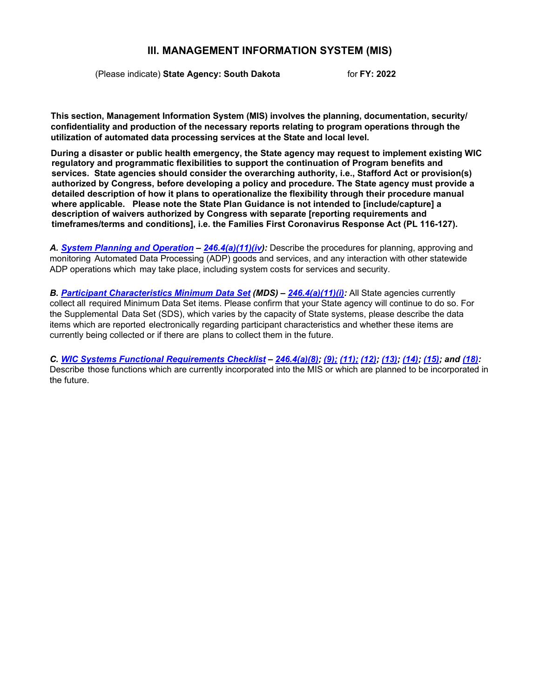## **III. MANAGEMENT INFORMATION SYSTEM (MIS)**

(Please indicate) **State Agency: South Dakota** for **FY: 2022**

**This section, Management Information System (MIS) involves the planning, documentation, security/ confidentiality and production of the necessary reports relating to program operations through the utilization of automated data processing services at the State and local level.** 

**During a disaster or public health emergency, the State agency may request to implement existing WIC regulatory and programmatic flexibilities to support the continuation of Program benefits and services. State agencies should consider the overarching authority, i.e., Stafford Act or provision(s) authorized by Congress, before developing a policy and procedure. The State agency must provide a detailed description of how it plans to operationalize the flexibility through their procedure manual where applicable. Please note the State Plan Guidance is not intended to [include/capture] a description of waivers authorized by Congress with separate [reporting requirements and timeframes/terms and conditions], i.e. the Families First Coronavirus Response Act (PL 116-127).**

*A. System Planning and [Operation](#page-1-0) – [246.4\(a\)\(11\)\(iv\)](https://ecfr.federalregister.gov/current/title-7/subtitle-B/chapter-II/subchapter-A/part-246#p-246.4(a)(11)(iv)):* Describe the procedures for planning, approving and monitoring Automated Data Processing (ADP) goods and services, and any interaction with other statewide ADP operations which may take place, including system costs for services and security.

*B. Participant [Characteristics](#page-3-0) Minimum Data Set (MDS) – [246.4\(a\)\(11\)\(i\):](https://ecfr.federalregister.gov/current/title-7/subtitle-B/chapter-II/subchapter-A/part-246#p-246.4(a)(11)(i))* All State agencies currently collect all required Minimum Data Set items. Please confirm that your State agency will continue to do so. For the Supplemental Data Set (SDS), which varies by the capacity of State systems, please describe the data items which are reported electronically regarding participant characteristics and whether these items are currently being collected or if there are plans to collect them in the future.

*C. WIC Systems Functional [Requirements Checklist](#page-6-0) – [246.4\(a\)\(8\);](https://ecfr.federalregister.gov/current/title-7/subtitle-B/chapter-II/subchapter-A/part-246#p-246.4(a)(8)) [\(9\);](https://ecfr.federalregister.gov/current/title-7/subtitle-B/chapter-II/subchapter-A/part-246#p-246.4(a)(9)) [\(11\);](https://ecfr.federalregister.gov/current/title-7/subtitle-B/chapter-II/subchapter-A/part-246#p-246.4(a)(11)) [\(12\);](https://ecfr.federalregister.gov/current/title-7/subtitle-B/chapter-II/subchapter-A/part-246#p-246.4(a)(12)) [\(13\);](https://ecfr.federalregister.gov/current/title-7/subtitle-B/chapter-II/subchapter-A/part-246#p-246.4(a)(13)) [\(14\);](https://ecfr.federalregister.gov/current/title-7/subtitle-B/chapter-II/subchapter-A/part-246#p-246.4(a)(14)) [\(15\);](https://ecfr.federalregister.gov/current/title-7/subtitle-B/chapter-II/subchapter-A/part-246#p-246.4(a)(15)) and [\(18\):](https://ecfr.federalregister.gov/current/title-7/subtitle-B/chapter-II/subchapter-A/part-246#p-246.4(a)(18))* Describe those functions which are currently incorporated into the MIS or which are planned to be incorporated in the future.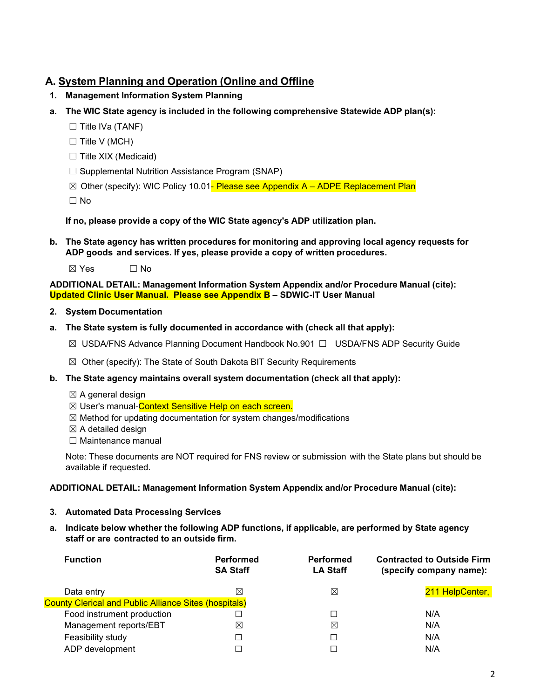# <span id="page-1-0"></span>**A. System Planning and Operation (Online and Offline**

- **1. Management Information System Planning**
- **a. The WIC State agency is included in the following comprehensive Statewide ADP plan(s):**
	- □ Title IVa (TANF)
	- $\Box$  Title V (MCH)
	- $\Box$  Title XIX (Medicaid)
	- ☐ Supplemental Nutrition Assistance Program (SNAP)
	- $\boxtimes$  Other (specify): WIC Policy 10.01- Please see Appendix A ADPE Replacement Plan

☐ No

**If no, please provide a copy of the WIC State agency's ADP utilization plan.**

**b. The State agency has written procedures for monitoring and approving local agency requests for ADP goods and services. If yes, please provide a copy of written procedures.**

 $\boxtimes$  Yes  $\Box$  No

**ADDITIONAL DETAIL: Management Information System Appendix and/or Procedure Manual (cite): Updated Clinic User Manual. Please see Appendix B – SDWIC-IT User Manual**

- **2. System Documentation**
- **a. The State system is fully documented in accordance with (check all that apply):**
	- ☒ USDA/FNS Advance Planning Document Handbook No.901 ☐ USDA/FNS ADP Security Guide
	- $\boxtimes$  Other (specify): The State of South Dakota BIT Security Requirements
- **b. The State agency maintains overall system documentation (check all that apply):**
	- $\boxtimes$  A general design
	- ⊠ User's manual-Context Sensitive Help on each screen.
	- ☒ Method for updating documentation for system changes/modifications
	- $\boxtimes$  A detailed design
	- □ Maintenance manual

Note: These documents are NOT required for FNS review or submission with the State plans but should be available if requested.

## **ADDITIONAL DETAIL: Management Information System Appendix and/or Procedure Manual (cite):**

- **3. Automated Data Processing Services**
- **a. Indicate below whether the following ADP functions, if applicable, are performed by State agency staff or are contracted to an outside firm.**

| <b>Performed</b><br><b>SA Staff</b>                          | <b>Performed</b><br><b>LA Staff</b> | <b>Contracted to Outside Firm</b><br>(specify company name): |
|--------------------------------------------------------------|-------------------------------------|--------------------------------------------------------------|
| ⊠                                                            | ⊠                                   | 211 HelpCenter,                                              |
| <b>County Clerical and Public Alliance Sites (hospitals)</b> |                                     |                                                              |
|                                                              | □                                   | N/A                                                          |
| $\boxtimes$                                                  | ⊠                                   | N/A                                                          |
| $\Box$                                                       |                                     | N/A                                                          |
| П                                                            |                                     | N/A                                                          |
|                                                              |                                     |                                                              |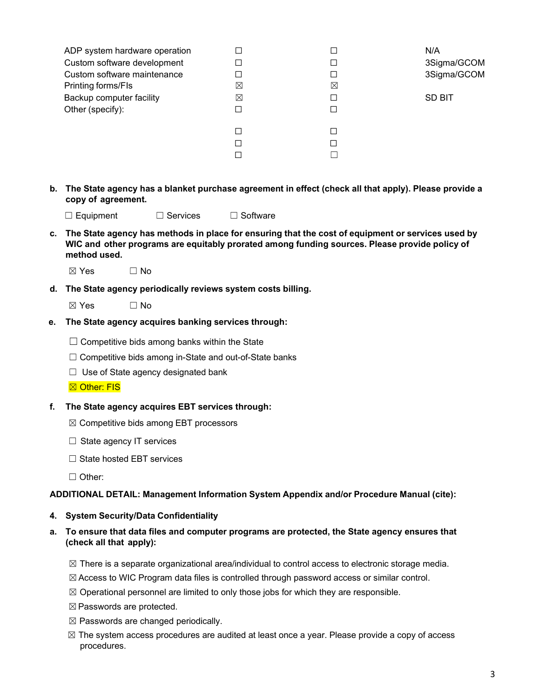| ADP system hardware operation<br>Custom software development<br>Custom software maintenance<br>Printing forms/FIs<br>Backup computer facility<br>Other (specify): | X<br>$\boxtimes$ | ⊠ | N/A<br>3Sigma/GCOM<br>3Sigma/GCOM<br>SD BIT |
|-------------------------------------------------------------------------------------------------------------------------------------------------------------------|------------------|---|---------------------------------------------|
|                                                                                                                                                                   |                  |   |                                             |

b. The State agency has a blanket purchase agreement in effect (check all that apply). Please provide a **copy of agreement.**

☐ Equipment ☐ Services ☐ Software

- c. The State agency has methods in place for ensuring that the cost of equipment or services used by **WIC and other programs are equitably prorated among funding sources. Please provide policy of method used.**
	- $\boxtimes$  Yes  $\Box$  No
- **d. The State agency periodically reviews system costs billing.**
	- $\boxtimes$  Yes  $\Box$  No
- **e. The State agency acquires banking services through:**
	- $\Box$  Competitive bids among banks within the State
	- ☐ Competitive bids among in-State and out-of-State banks
	- $\Box$  Use of State agency designated bank
	- **⊠ Other: FIS**
- **f. The State agency acquires EBT services through:**
	- ☒ Competitive bids among EBT processors
	- □ State agency IT services
	- ☐ State hosted EBT services
	- ☐ Other:

#### **ADDITIONAL DETAIL: Management Information System Appendix and/or Procedure Manual (cite):**

- **4. System Security/Data Confidentiality**
- **a. To ensure that data files and computer programs are protected, the State agency ensures that (check all that apply):**
	- $\boxtimes$  There is a separate organizational area/individual to control access to electronic storage media.
	- ☒Access to WIC Program data files is controlled through password access or similar control.
	- $\boxtimes$  Operational personnel are limited to only those jobs for which they are responsible.
	- ☒Passwords are protected.
	- $\boxtimes$  Passwords are changed periodically.
	- $\boxtimes$  The system access procedures are audited at least once a year. Please provide a copy of access procedures.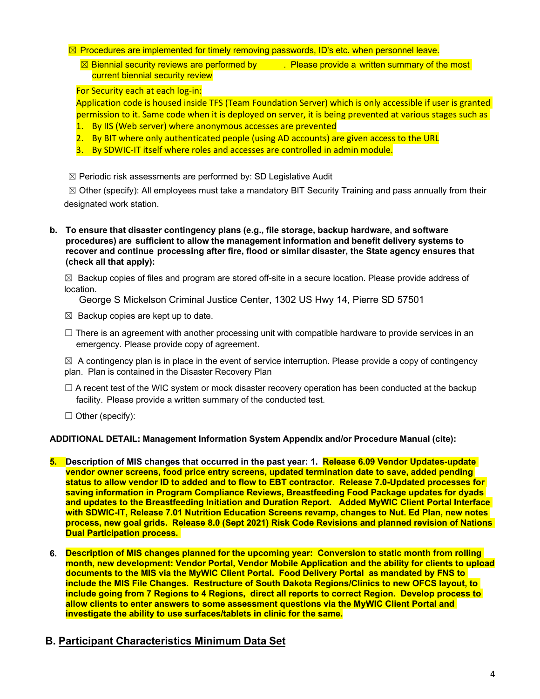#### $\boxtimes$  Procedures are implemented for timely removing passwords, ID's etc. when personnel leave.

 $\boxtimes$  Biennial security reviews are performed by  $\blacksquare$  Please provide a written summary of the most current biennial security review

For Security each at each log-in:

Application code is housed inside TFS (Team Foundation Server) which is only accessible if user is granted permission to it. Same code when it is deployed on server, it is being prevented at various stages such as

- 1. By IIS (Web server) where anonymous accesses are prevented
- 2. By BIT where only authenticated people (using AD accounts) are given access to the URL
- 3. By SDWIC-IT itself where roles and accesses are controlled in admin module.

 $\boxtimes$  Periodic risk assessments are performed by: SD Legislative Audit

 $\boxtimes$  Other (specify): All employees must take a mandatory BIT Security Training and pass annually from their designated work station.

**b. To ensure that disaster contingency plans (e.g., file storage, backup hardware, and software procedures) are sufficient to allow the management information and benefit delivery systems to recover and continue processing after fire, flood or similar disaster, the State agency ensures that (check all that apply):**

 $\boxtimes$  Backup copies of files and program are stored off-site in a secure location. Please provide address of location.

George S Mickelson Criminal Justice Center, 1302 US Hwy 14, Pierre SD 57501

- $\boxtimes$  Backup copies are kept up to date.
- $\Box$  There is an agreement with another processing unit with compatible hardware to provide services in an emergency. Please provide copy of agreement.

 $\boxtimes$  A contingency plan is in place in the event of service interruption. Please provide a copy of contingency plan. Plan is contained in the Disaster Recovery Plan

- $\Box$  A recent test of the WIC system or mock disaster recovery operation has been conducted at the backup facility. Please provide a written summary of the conducted test.
- $\Box$  Other (specify):

## **ADDITIONAL DETAIL: Management Information System Appendix and/or Procedure Manual (cite):**

- **5. Description of MIS changes that occurred in the past year: 1. Release 6.09 Vendor Updates-update vendor owner screens, food price entry screens, updated termination date to save, added pending status to allow vendor ID to added and to flow to EBT contractor. Release 7.0-Updated processes for saving information in Program Compliance Reviews, Breastfeeding Food Package updates for dyads and updates to the Breastfeeding Initiation and Duration Report. Added MyWIC Client Portal Interface with SDWIC-IT, Release 7.01 Nutrition Education Screens revamp, changes to Nut. Ed Plan, new notes process, new goal grids. Release 8.0 (Sept 2021) Risk Code Revisions and planned revision of Nations Dual Participation process.**
- **6. Description of MIS changes planned for the upcoming year: Conversion to static month from rolling month, new development: Vendor Portal, Vendor Mobile Application and the ability for clients to upload documents to the MIS via the MyWIC Client Portal. Food Delivery Portal as mandated by FNS to include the MIS File Changes. Restructure of South Dakota Regions/Clinics to new OFCS layout, to include going from 7 Regions to 4 Regions, direct all reports to correct Region. Develop process to allow clients to enter answers to some assessment questions via the MyWIC Client Portal and investigate the ability to use surfaces/tablets in clinic for the same.**

# <span id="page-3-0"></span>**B. Participant Characteristics Minimum Data Set**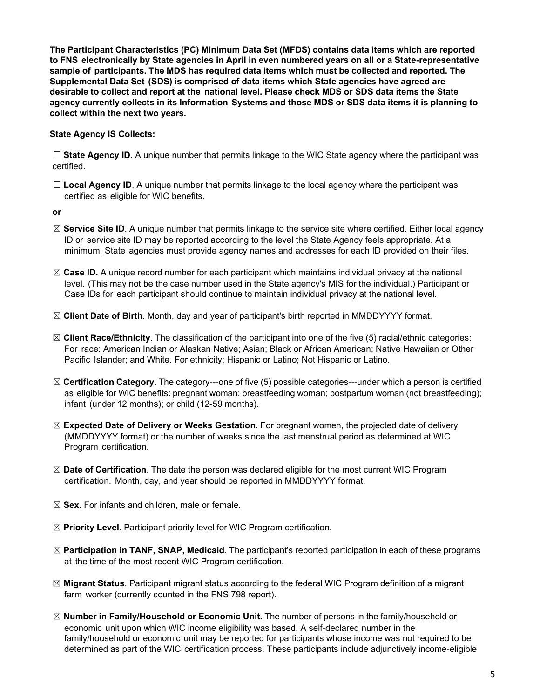**The Participant Characteristics (PC) Minimum Data Set (MFDS) contains data items which are reported to FNS electronically by State agencies in April in even numbered years on all or a State-representative sample of participants. The MDS has required data items which must be collected and reported. The Supplemental Data Set (SDS) is comprised of data items which State agencies have agreed are desirable to collect and report at the national level. Please check MDS or SDS data items the State agency currently collects in its Information Systems and those MDS or SDS data items it is planning to collect within the next two years.**

**State Agency IS Collects:**

☐ **State Agency ID**. A unique number that permits linkage to the WIC State agency where the participant was certified.

□ **Local Agency ID**. A unique number that permits linkage to the local agency where the participant was certified as eligible for WIC benefits.

**or**

- ☒ **Service Site ID**. A unique number that permits linkage to the service site where certified. Either local agency ID or service site ID may be reported according to the level the State Agency feels appropriate. At a minimum, State agencies must provide agency names and addresses for each ID provided on their files.
- ☒ **Case ID.** A unique record number for each participant which maintains individual privacy at the national level. (This may not be the case number used in the State agency's MIS for the individual.) Participant or Case IDs for each participant should continue to maintain individual privacy at the national level.
- ☒ **Client Date of Birth**. Month, day and year of participant's birth reported in MMDDYYYY format.
- ☒ **Client Race/Ethnicity**. The classification of the participant into one of the five (5) racial/ethnic categories: For race: American Indian or Alaskan Native; Asian; Black or African American; Native Hawaiian or Other Pacific Islander; and White. For ethnicity: Hispanic or Latino; Not Hispanic or Latino.
- ☒ **Certification Category**. The category---one of five (5) possible categories---under which a person is certified as eligible for WIC benefits: pregnant woman; breastfeeding woman; postpartum woman (not breastfeeding); infant (under 12 months); or child (12-59 months).
- ☒ **Expected Date of Delivery or Weeks Gestation.** For pregnant women, the projected date of delivery (MMDDYYYY format) or the number of weeks since the last menstrual period as determined at WIC Program certification.
- ☒ **Date of Certification**. The date the person was declared eligible for the most current WIC Program certification. Month, day, and year should be reported in MMDDYYYY format.
- ☒ **Sex**. For infants and children, male or female.
- ☒ **Priority Level**. Participant priority level for WIC Program certification.
- ☒ **Participation in TANF, SNAP, Medicaid**. The participant's reported participation in each of these programs at the time of the most recent WIC Program certification.
- ☒ **Migrant Status**. Participant migrant status according to the federal WIC Program definition of a migrant farm worker (currently counted in the FNS 798 report).
- ☒ **Number in Family/Household or Economic Unit.** The number of persons in the family/household or economic unit upon which WIC income eligibility was based. A self-declared number in the family/household or economic unit may be reported for participants whose income was not required to be determined as part of the WIC certification process. These participants include adjunctively income-eligible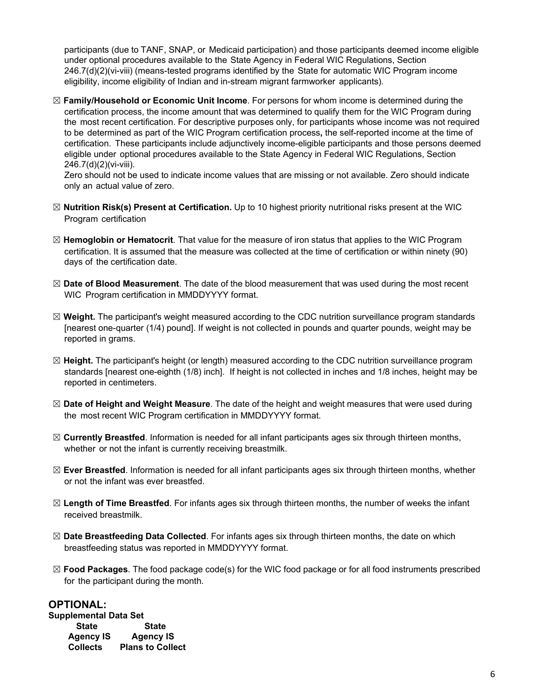participants (due to TANF, SNAP, or Medicaid participation) and those participants deemed income eligible under optional procedures available to the State Agency in Federal WIC Regulations, Section 246.7(d)(2)(vi-viii) (means-tested programs identified by the State for automatic WIC Program income eligibility, income eligibility of Indian and in-stream migrant farmworker applicants).

☒ **Family/Household or Economic Unit Income**. For persons for whom income is determined during the certification process, the income amount that was determined to qualify them for the WIC Program during the most recent certification. For descriptive purposes only, for participants whose income was not required to be determined as part of the WIC Program certification process**,** the self-reported income at the time of certification. These participants include adjunctively income-eligible participants and those persons deemed eligible under optional procedures available to the State Agency in Federal WIC Regulations, Section 246.7(d)(2)(vi-viii).

Zero should not be used to indicate income values that are missing or not available. Zero should indicate only an actual value of zero.

- ☒ **Nutrition Risk(s) Present at Certification.** Up to 10 highest priority nutritional risks present at the WIC Program certification
- ☒ **Hemoglobin or Hematocrit**. That value for the measure of iron status that applies to the WIC Program certification. It is assumed that the measure was collected at the time of certification or within ninety (90) days of the certification date.
- ☒ **Date of Blood Measurement**. The date of the blood measurement that was used during the most recent WIC Program certification in MMDDYYYY format.
- ☒ **Weight.** The participant's weight measured according to the CDC nutrition surveillance program standards [nearest one-quarter (1/4) pound]. If weight is not collected in pounds and quarter pounds, weight may be reported in grams.
- ☒ **Height.** The participant's height (or length) measured according to the CDC nutrition surveillance program standards [nearest one-eighth (1/8) inch]. If height is not collected in inches and 1/8 inches, height may be reported in centimeters.
- ☒ **Date of Height and Weight Measure**. The date of the height and weight measures that were used during the most recent WIC Program certification in MMDDYYYY format.
- ☒ **Currently Breastfed**. Information is needed for all infant participants ages six through thirteen months, whether or not the infant is currently receiving breastmilk.
- ☒ **Ever Breastfed**. Information is needed for all infant participants ages six through thirteen months, whether or not the infant was ever breastfed.
- ☒ **Length of Time Breastfed**. For infants ages six through thirteen months, the number of weeks the infant received breastmilk.
- ☒ **Date Breastfeeding Data Collected**. For infants ages six through thirteen months, the date on which breastfeeding status was reported in MMDDYYYY format.
- ☒ **Food Packages**. The food package code(s) for the WIC food package or for all food instruments prescribed for the participant during the month.

## **OPTIONAL:**

| <b>Supplemental Data Set</b> |                         |
|------------------------------|-------------------------|
| <b>State</b>                 | <b>State</b>            |
| <b>Agency IS</b>             | <b>Agency IS</b>        |
| <b>Collects</b>              | <b>Plans to Collect</b> |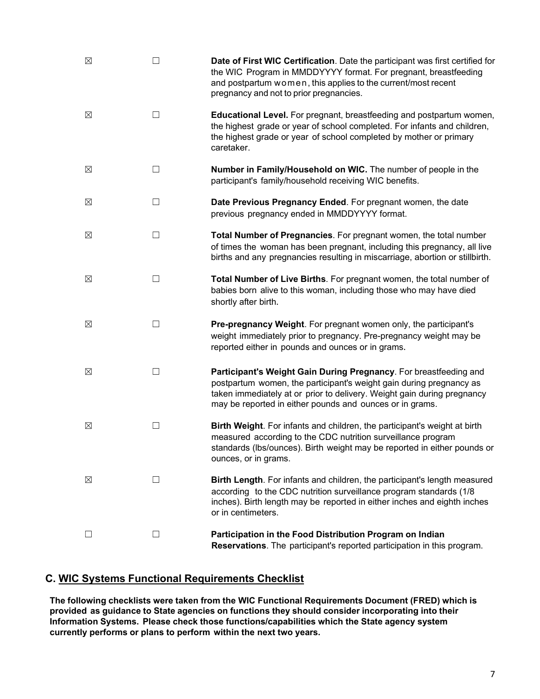| ⊠ |                | Date of First WIC Certification. Date the participant was first certified for<br>the WIC Program in MMDDYYYY format. For pregnant, breastfeeding<br>and postpartum women, this applies to the current/most recent<br>pregnancy and not to prior pregnancies.                    |
|---|----------------|---------------------------------------------------------------------------------------------------------------------------------------------------------------------------------------------------------------------------------------------------------------------------------|
| ⊠ | - 1            | <b>Educational Level.</b> For pregnant, breastfeeding and postpartum women,<br>the highest grade or year of school completed. For infants and children,<br>the highest grade or year of school completed by mother or primary<br>caretaker.                                     |
| ⊠ | $\Box$         | Number in Family/Household on WIC. The number of people in the<br>participant's family/household receiving WIC benefits.                                                                                                                                                        |
| ⊠ | П              | Date Previous Pregnancy Ended. For pregnant women, the date<br>previous pregnancy ended in MMDDYYYY format.                                                                                                                                                                     |
| ⊠ | П              | Total Number of Pregnancies. For pregnant women, the total number<br>of times the woman has been pregnant, including this pregnancy, all live<br>births and any pregnancies resulting in miscarriage, abortion or stillbirth.                                                   |
| ⊠ | $\blacksquare$ | Total Number of Live Births. For pregnant women, the total number of<br>babies born alive to this woman, including those who may have died<br>shortly after birth.                                                                                                              |
| ⊠ | П              | Pre-pregnancy Weight. For pregnant women only, the participant's<br>weight immediately prior to pregnancy. Pre-pregnancy weight may be<br>reported either in pounds and ounces or in grams.                                                                                     |
| ⊠ | П              | Participant's Weight Gain During Pregnancy. For breastfeeding and<br>postpartum women, the participant's weight gain during pregnancy as<br>taken immediately at or prior to delivery. Weight gain during pregnancy<br>may be reported in either pounds and ounces or in grams. |
| ⊠ | П              | Birth Weight. For infants and children, the participant's weight at birth<br>measured according to the CDC nutrition surveillance program<br>standards (Ibs/ounces). Birth weight may be reported in either pounds or<br>ounces, or in grams.                                   |
| ⊠ | $\blacksquare$ | Birth Length. For infants and children, the participant's length measured<br>according to the CDC nutrition surveillance program standards (1/8)<br>inches). Birth length may be reported in either inches and eighth inches<br>or in centimeters.                              |
| ⊡ | □              | Participation in the Food Distribution Program on Indian<br>Reservations. The participant's reported participation in this program.                                                                                                                                             |

# <span id="page-6-0"></span>**C. WIC Systems Functional Requirements Checklist**

**The following checklists were taken from the WIC Functional Requirements Document (FRED) which is provided as guidance to State agencies on functions they should consider incorporating into their Information Systems. Please check those functions/capabilities which the State agency system currently performs or plans to perform within the next two years.**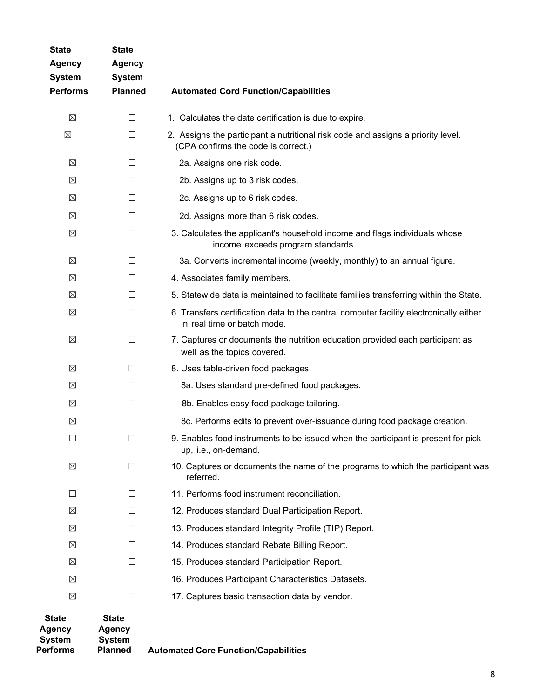| <b>State</b><br><b>Agency</b><br><b>System</b><br><b>Performs</b> | <b>State</b><br><b>Agency</b><br><b>System</b><br><b>Planned</b> | <b>Automated Cord Function/Capabilities</b>                                                                             |
|-------------------------------------------------------------------|------------------------------------------------------------------|-------------------------------------------------------------------------------------------------------------------------|
| $\boxtimes$                                                       | $\Box$                                                           | 1. Calculates the date certification is due to expire.                                                                  |
| $\boxtimes$                                                       | $\Box$                                                           | 2. Assigns the participant a nutritional risk code and assigns a priority level.<br>(CPA confirms the code is correct.) |
| ⊠                                                                 | ⊔                                                                | 2a. Assigns one risk code.                                                                                              |
| $\boxtimes$                                                       | □                                                                | 2b. Assigns up to 3 risk codes.                                                                                         |
| ⊠                                                                 | $\Box$                                                           | 2c. Assigns up to 6 risk codes.                                                                                         |
| ⊠                                                                 | $\Box$                                                           | 2d. Assigns more than 6 risk codes.                                                                                     |
| $\boxtimes$                                                       | □                                                                | 3. Calculates the applicant's household income and flags individuals whose<br>income exceeds program standards.         |
| ⊠                                                                 | $\Box$                                                           | 3a. Converts incremental income (weekly, monthly) to an annual figure.                                                  |
| $\boxtimes$                                                       | $\Box$                                                           | 4. Associates family members.                                                                                           |
| $\boxtimes$                                                       | П                                                                | 5. Statewide data is maintained to facilitate families transferring within the State.                                   |
| $\boxtimes$                                                       | $\Box$                                                           | 6. Transfers certification data to the central computer facility electronically either<br>in real time or batch mode.   |
| $\boxtimes$                                                       | $\Box$                                                           | 7. Captures or documents the nutrition education provided each participant as<br>well as the topics covered.            |
| ⊠                                                                 | □                                                                | 8. Uses table-driven food packages.                                                                                     |
| ⊠                                                                 | $\Box$                                                           | 8a. Uses standard pre-defined food packages.                                                                            |
| ⊠                                                                 | $\Box$                                                           | 8b. Enables easy food package tailoring.                                                                                |
| $\boxtimes$                                                       | П                                                                | 8c. Performs edits to prevent over-issuance during food package creation.                                               |
| $\mathsf{L}$                                                      | $\vert \ \ \vert$                                                | 9. Enables food instruments to be issued when the participant is present for pick-<br>up, i.e., on-demand.              |
| ⊠                                                                 | П                                                                | 10. Captures or documents the name of the programs to which the participant was<br>referred.                            |
| $\perp$                                                           | $\perp$                                                          | 11. Performs food instrument reconciliation.                                                                            |
| ⊠                                                                 | П                                                                | 12. Produces standard Dual Participation Report.                                                                        |
| ⊠                                                                 | $\perp$                                                          | 13. Produces standard Integrity Profile (TIP) Report.                                                                   |
| ⊠                                                                 | П                                                                | 14. Produces standard Rebate Billing Report.                                                                            |
| $\boxtimes$                                                       | $\Box$                                                           | 15. Produces standard Participation Report.                                                                             |
| ⊠                                                                 | $\mathsf{L}$                                                     | 16. Produces Participant Characteristics Datasets.                                                                      |
| ⊠                                                                 | П                                                                | 17. Captures basic transaction data by vendor.                                                                          |
| <b>State</b>                                                      | <b>State</b>                                                     |                                                                                                                         |

| -----<br>Agency | -----<br>Agency |                                             |
|-----------------|-----------------|---------------------------------------------|
| <b>System</b>   | <b>System</b>   |                                             |
| <b>Performs</b> | <b>Planned</b>  | <b>Automated Core Function/Capabilities</b> |
|                 |                 |                                             |